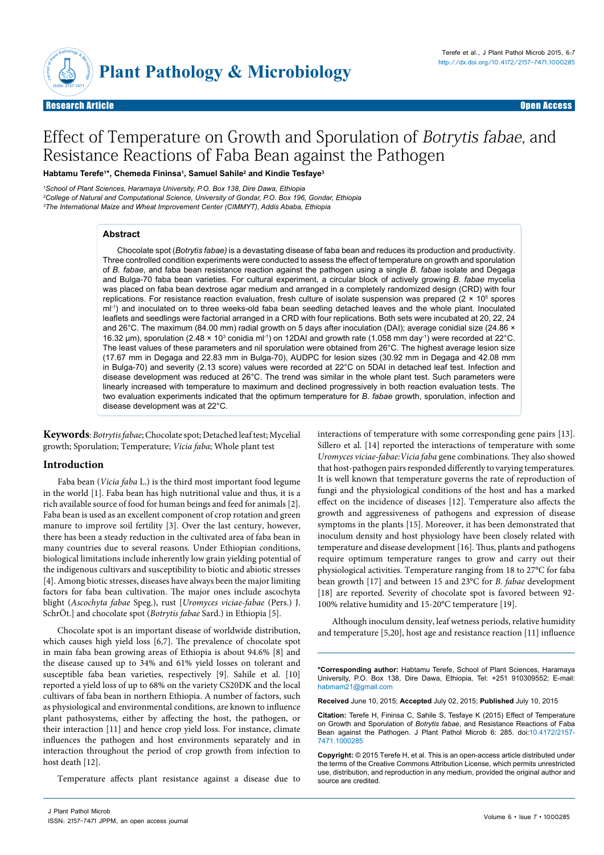

Research Article Open Access

# Effect of Temperature on Growth and Sporulation of Botrytis fabae, and Resistance Reactions of Faba Bean against the Pathogen

**Habtamu Terefe1 \*, Chemeda Fininsa1 , Samuel Sahile2 and Kindie Tesfaye3**

*1 School of Plant Sciences, Haramaya University, P.O. Box 138, Dire Dawa, Ethiopia 2 College of Natural and Computational Science, University of Gondar, P.O. Box 196, Gondar, Ethiopia 3 The International Maize and Wheat Improvement Center (CIMMYT), Addis Ababa, Ethiopia*

#### **Abstract**

Chocolate spot (*Botrytis fabae)* is a devastating disease of faba bean and reduces its production and productivity. Three controlled condition experiments were conducted to assess the effect of temperature on growth and sporulation of *B. fabae*, and faba bean resistance reaction against the pathogen using a single *B. fabae* isolate and Degaga and Bulga-70 faba bean varieties. For cultural experiment, a circular block of actively growing *B. fabae* mycelia was placed on faba bean dextrose agar medium and arranged in a completely randomized design (CRD) with four replications. For resistance reaction evaluation, fresh culture of isolate suspension was prepared (2  $\times$  10<sup>5</sup> spores ml<sup>-1</sup>) and inoculated on to three weeks-old faba bean seedling detached leaves and the whole plant. Inoculated leaflets and seedlings were factorial arranged in a CRD with four replications. Both sets were incubated at 20, 22, 24 and 26°C. The maximum (84.00 mm) radial growth on 5 days after inoculation (DAI); average conidial size (24.86 × 16.32 μm), sporulation (2.48 × 10<sup>3</sup> conidia ml<sup>-1</sup>) on 12DAI and growth rate (1.058 mm day<sup>-1</sup>) were recorded at 22°C. The least values of these parameters and nil sporulation were obtained from 26°C. The highest average lesion size (17.67 mm in Degaga and 22.83 mm in Bulga-70), AUDPC for lesion sizes (30.92 mm in Degaga and 42.08 mm in Bulga-70) and severity (2.13 score) values were recorded at 22°C on 5DAI in detached leaf test. Infection and disease development was reduced at 26°C. The trend was similar in the whole plant test. Such parameters were linearly increased with temperature to maximum and declined progressively in both reaction evaluation tests. The two evaluation experiments indicated that the optimum temperature for *B. fabae* growth, sporulation, infection and disease development was at 22°C.

**Keywords**: *Botrytis fabae*; Chocolate spot; Detached leaf test; Mycelial growth; Sporulation; Temperature; *Vicia faba*; Whole plant test

## **Introduction**

Faba bean (*Vicia faba* L.) is the third most important food legume in the world [1]. Faba bean has high nutritional value and thus, it is a rich available source of food for human beings and feed for animals [2]. Faba bean is used as an excellent component of crop rotation and green manure to improve soil fertility [3]. Over the last century, however, there has been a steady reduction in the cultivated area of faba bean in many countries due to several reasons. Under Ethiopian conditions, biological limitations include inherently low grain yielding potential of the indigenous cultivars and susceptibility to biotic and abiotic stresses [4]. Among biotic stresses, diseases have always been the major limiting factors for faba bean cultivation. The major ones include ascochyta blight (*Ascochyta fabae* Speg.), rust [*Uromyces viciae-fabae* (Pers.) J. SchrÖt.] and chocolate spot (*Botrytis fabae* Sard.) in Ethiopia [5].

Chocolate spot is an important disease of worldwide distribution, which causes high yield loss [6,7]. The prevalence of chocolate spot in main faba bean growing areas of Ethiopia is about 94.6% [8] and the disease caused up to 34% and 61% yield losses on tolerant and susceptible faba bean varieties, respectively [9]. Sahile et al. [10] reported a yield loss of up to 68% on the variety CS20DK and the local cultivars of faba bean in northern Ethiopia. A number of factors, such as physiological and environmental conditions, are known to influence plant pathosystems, either by affecting the host, the pathogen, or their interaction [11] and hence crop yield loss. For instance, climate influences the pathogen and host environments separately and in interaction throughout the period of crop growth from infection to host death [12].

Temperature affects plant resistance against a disease due to

interactions of temperature with some corresponding gene pairs [13]. Sillero et al. [14] reported the interactions of temperature with some *Uromyces viciae-fabae:Vicia faba* gene combinations. They also showed that host-pathogen pairs responded differently to varying temperatures. It is well known that temperature governs the rate of reproduction of fungi and the physiological conditions of the host and has a marked effect on the incidence of diseases [12]. Temperature also affects the growth and aggressiveness of pathogens and expression of disease symptoms in the plants [15]. Moreover, it has been demonstrated that inoculum density and host physiology have been closely related with temperature and disease development [16]. Thus, plants and pathogens require optimum temperature ranges to grow and carry out their physiological activities. Temperature ranging from 18 to 27°C for faba bean growth [17] and between 15 and 23°C for *B. fabae* development [18] are reported. Severity of chocolate spot is favored between 92- 100% relative humidity and 15-20°C temperature [19].

Although inoculum density, leaf wetness periods, relative humidity and temperature [5,20], host age and resistance reaction [11] influence

**\*Corresponding author:** Habtamu Terefe, School of Plant Sciences, Haramaya University, P.O. Box 138, Dire Dawa, Ethiopia, Tel: +251 910309552; E-mail: habmam21@gmail.com

**Received** June 10, 2015; **Accepted** July 02, 2015; **Published** July 10, 2015

**Citation:** Terefe H, Fininsa C, Sahile S, Tesfaye K (2015) Effect of Temperature on Growth and Sporulation of *Botrytis fabae*, and Resistance Reactions of Faba Bean against the Pathogen. J Plant Pathol Microb 6: 285. doi:[10.4172/2157-](http://dx.doi.org/10.4172/2157-7471.1000285) [7471.10002](http://dx.doi.org/10.4172/2157-7471.1000285)85

**Copyright:** © 2015 Terefe H, et al. This is an open-access article distributed under the terms of the Creative Commons Attribution License, which permits unrestricted use, distribution, and reproduction in any medium, provided the original author and source are credited.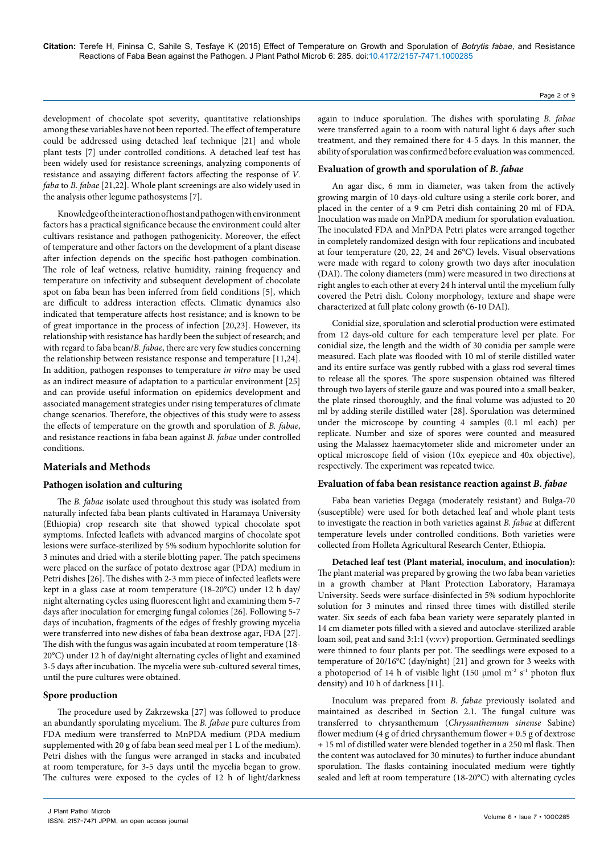development of chocolate spot severity, quantitative relationships among these variables have not been reported. The effect of temperature could be addressed using detached leaf technique [21] and whole plant tests [7] under controlled conditions. A detached leaf test has been widely used for resistance screenings, analyzing components of resistance and assaying different factors affecting the response of *V. faba* to *B. fabae* [21,22]. Whole plant screenings are also widely used in the analysis other legume pathosystems [7].

Knowledge of the interaction of host and pathogen with environment factors has a practical significance because the environment could alter cultivars resistance and pathogen pathogenicity. Moreover, the effect of temperature and other factors on the development of a plant disease after infection depends on the specific host-pathogen combination. The role of leaf wetness, relative humidity, raining frequency and temperature on infectivity and subsequent development of chocolate spot on faba bean has been inferred from field conditions [5], which are difficult to address interaction effects. Climatic dynamics also indicated that temperature affects host resistance; and is known to be of great importance in the process of infection [20,23]. However, its relationship with resistance has hardly been the subject of research; and with regard to faba bean/*B. fabae*, there are very few studies concerning the relationship between resistance response and temperature [11,24]. In addition, pathogen responses to temperature *in vitro* may be used as an indirect measure of adaptation to a particular environment [25] and can provide useful information on epidemics development and associated management strategies under rising temperatures of climate change scenarios. Therefore, the objectives of this study were to assess the effects of temperature on the growth and sporulation of *B. fabae*, and resistance reactions in faba bean against *B. fabae* under controlled conditions.

## **Materials and Methods**

## **Pathogen isolation and culturing**

The *B. fabae* isolate used throughout this study was isolated from naturally infected faba bean plants cultivated in Haramaya University (Ethiopia) crop research site that showed typical chocolate spot symptoms. Infected leaflets with advanced margins of chocolate spot lesions were surface-sterilized by 5% sodium hypochlorite solution for 3 minutes and dried with a sterile blotting paper. The patch specimens were placed on the surface of potato dextrose agar (PDA) medium in Petri dishes [26]. The dishes with 2-3 mm piece of infected leaflets were kept in a glass case at room temperature (18-20°C) under 12 h day/ night alternating cycles using fluorescent light and examining them 5-7 days after inoculation for emerging fungal colonies [26]. Following 5-7 days of incubation, fragments of the edges of freshly growing mycelia were transferred into new dishes of faba bean dextrose agar, FDA [27]. The dish with the fungus was again incubated at room temperature (18- 20°C) under 12 h of day/night alternating cycles of light and examined 3-5 days after incubation. The mycelia were sub-cultured several times, until the pure cultures were obtained.

## **Spore production**

The procedure used by Zakrzewska [27] was followed to produce an abundantly sporulating mycelium. The *B. fabae* pure cultures from FDA medium were transferred to MnPDA medium (PDA medium supplemented with 20 g of faba bean seed meal per 1 L of the medium). Petri dishes with the fungus were arranged in stacks and incubated at room temperature, for 3-5 days until the mycelia began to grow. The cultures were exposed to the cycles of 12 h of light/darkness

again to induce sporulation. The dishes with sporulating *B. fabae* were transferred again to a room with natural light 6 days after such treatment, and they remained there for 4-5 days. In this manner, the ability of sporulation was confirmed before evaluation was commenced.

## **Evaluation of growth and sporulation of** *B. fabae*

An agar disc, 6 mm in diameter, was taken from the actively growing margin of 10 days-old culture using a sterile cork borer, and placed in the center of a 9 cm Petri dish containing 20 ml of FDA. Inoculation was made on MnPDA medium for sporulation evaluation. The inoculated FDA and MnPDA Petri plates were arranged together in completely randomized design with four replications and incubated at four temperature (20, 22, 24 and 26°C) levels. Visual observations were made with regard to colony growth two days after inoculation (DAI). The colony diameters (mm) were measured in two directions at right angles to each other at every 24 h interval until the mycelium fully covered the Petri dish. Colony morphology, texture and shape were characterized at full plate colony growth (6-10 DAI).

Conidial size, sporulation and sclerotial production were estimated from 12 days-old culture for each temperature level per plate. For conidial size, the length and the width of 30 conidia per sample were measured. Each plate was flooded with 10 ml of sterile distilled water and its entire surface was gently rubbed with a glass rod several times to release all the spores. The spore suspension obtained was filtered through two layers of sterile gauze and was poured into a small beaker, the plate rinsed thoroughly, and the final volume was adjusted to 20 ml by adding sterile distilled water [28]. Sporulation was determined under the microscope by counting 4 samples (0.1 ml each) per replicate. Number and size of spores were counted and measured using the Malassez haemacytometer slide and micrometer under an optical microscope field of vision (10x eyepiece and 40x objective), respectively. The experiment was repeated twice.

## **Evaluation of faba bean resistance reaction against** *B. fabae*

Faba bean varieties Degaga (moderately resistant) and Bulga-70 (susceptible) were used for both detached leaf and whole plant tests to investigate the reaction in both varieties against *B. fabae* at different temperature levels under controlled conditions. Both varieties were collected from Holleta Agricultural Research Center, Ethiopia.

**Detached leaf test (Plant material, inoculum, and inoculation):**  The plant material was prepared by growing the two faba bean varieties in a growth chamber at Plant Protection Laboratory, Haramaya University. Seeds were surface-disinfected in 5% sodium hypochlorite solution for 3 minutes and rinsed three times with distilled sterile water. Six seeds of each faba bean variety were separately planted in 14 cm diameter pots filled with a sieved and autoclave-sterilized arable loam soil, peat and sand 3:1:1 (v:v:v) proportion. Germinated seedlings were thinned to four plants per pot. The seedlings were exposed to a temperature of 20/16°C (day/night) [21] and grown for 3 weeks with a photoperiod of 14 h of visible light (150 µmol m<sup>-2</sup> s<sup>-1</sup> photon flux density) and 10 h of darkness [11].

Inoculum was prepared from *B. fabae* previously isolated and maintained as described in Section 2.1. The fungal culture was transferred to chrysanthemum (*Chrysanthemum sinense* Sabine) flower medium (4 g of dried chrysanthemum flower + 0.5 g of dextrose + 15 ml of distilled water were blended together in a 250 ml flask. Then the content was autoclaved for 30 minutes) to further induce abundant sporulation. The flasks containing inoculated medium were tightly sealed and left at room temperature (18-20°C) with alternating cycles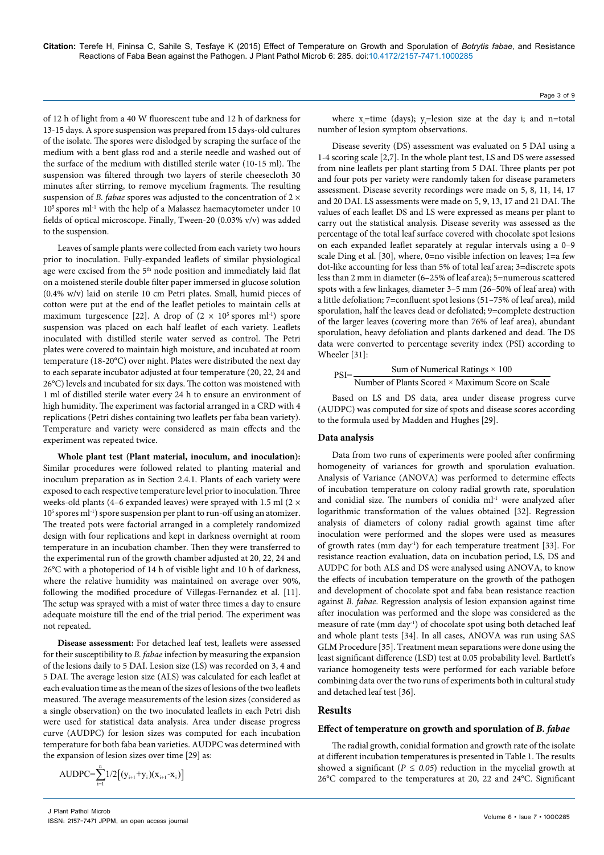of 12 h of light from a 40 W fluorescent tube and 12 h of darkness for 13-15 days. A spore suspension was prepared from 15 days-old cultures of the isolate. The spores were dislodged by scraping the surface of the medium with a bent glass rod and a sterile needle and washed out of the surface of the medium with distilled sterile water (10-15 ml). The suspension was filtered through two layers of sterile cheesecloth 30 minutes after stirring, to remove mycelium fragments. The resulting suspension of *B. fabae* spores was adjusted to the concentration of 2  $\times$ 10<sup>5</sup> spores ml<sup>-1</sup> with the help of a Malassez haemacytometer under 10 fields of optical microscope. Finally, Tween-20 (0.03% v/v) was added to the suspension.

Leaves of sample plants were collected from each variety two hours prior to inoculation. Fully-expanded leaflets of similar physiological age were excised from the 5<sup>th</sup> node position and immediately laid flat on a moistened sterile double filter paper immersed in glucose solution (0.4% w/v) laid on sterile 10 cm Petri plates. Small, humid pieces of cotton were put at the end of the leaflet petioles to maintain cells at maximum turgescence [22]. A drop of  $(2 \times 10^5 \text{ spores ml}^{-1})$  spore suspension was placed on each half leaflet of each variety. Leaflets inoculated with distilled sterile water served as control. The Petri plates were covered to maintain high moisture, and incubated at room temperature (18-20°C) over night. Plates were distributed the next day to each separate incubator adjusted at four temperature (20, 22, 24 and 26°C) levels and incubated for six days. The cotton was moistened with 1 ml of distilled sterile water every 24 h to ensure an environment of high humidity. The experiment was factorial arranged in a CRD with 4 replications (Petri dishes containing two leaflets per faba bean variety). Temperature and variety were considered as main effects and the experiment was repeated twice.

**Whole plant test (Plant material, inoculum, and inoculation):**  Similar procedures were followed related to planting material and inoculum preparation as in Section 2.4.1. Plants of each variety were exposed to each respective temperature level prior to inoculation. Three weeks-old plants (4–6 expanded leaves) were sprayed with 1.5 ml (2 × 105 spores ml-1) spore suspension per plant to run-off using an atomizer. The treated pots were factorial arranged in a completely randomized design with four replications and kept in darkness overnight at room temperature in an incubation chamber. Then they were transferred to the experimental run of the growth chamber adjusted at 20, 22, 24 and 26°C with a photoperiod of 14 h of visible light and 10 h of darkness, where the relative humidity was maintained on average over 90%, following the modified procedure of Villegas-Fernandez et al. [11]. The setup was sprayed with a mist of water three times a day to ensure adequate moisture till the end of the trial period. The experiment was not repeated.

**Disease assessment:** For detached leaf test, leaflets were assessed for their susceptibility to *B. fabae* infection by measuring the expansion of the lesions daily to 5 DAI. Lesion size (LS) was recorded on 3, 4 and 5 DAI. The average lesion size (ALS) was calculated for each leaflet at each evaluation time as the mean of the sizes of lesions of the two leaflets measured. The average measurements of the lesion sizes (considered as a single observation) on the two inoculated leaflets in each Petri dish were used for statistical data analysis. Area under disease progress curve (AUDPC) for lesion sizes was computed for each incubation temperature for both faba bean varieties. AUDPC was determined with the expansion of lesion sizes over time [29] as:

$$
AUDPC{=}\sum_{i=1}^{n}1/2\big[(y_{i+1}{+}y_i)(x_{i+1}{-}x_i)\big]
$$

Page 3 of 9

where  $x_i$ =time (days);  $y_i$ =lesion size at the day i; and n=total number of lesion symptom observations.

Disease severity (DS) assessment was evaluated on 5 DAI using a 1-4 scoring scale [2,7]. In the whole plant test, LS and DS were assessed from nine leaflets per plant starting from 5 DAI. Three plants per pot and four pots per variety were randomly taken for disease parameters assessment. Disease severity recordings were made on 5, 8, 11, 14, 17 and 20 DAI. LS assessments were made on 5, 9, 13, 17 and 21 DAI. The values of each leaflet DS and LS were expressed as means per plant to carry out the statistical analysis. Disease severity was assessed as the percentage of the total leaf surface covered with chocolate spot lesions on each expanded leaflet separately at regular intervals using a 0–9 scale Ding et al. [30], where, 0=no visible infection on leaves; 1=a few dot-like accounting for less than 5% of total leaf area; 3=discrete spots less than 2 mm in diameter (6–25% of leaf area); 5=numerous scattered spots with a few linkages, diameter 3–5 mm (26–50% of leaf area) with a little defoliation; 7=confluent spot lesions (51–75% of leaf area), mild sporulation, half the leaves dead or defoliated; 9=complete destruction of the larger leaves (covering more than 76% of leaf area), abundant sporulation, heavy defoliation and plants darkened and dead. The DS data were converted to percentage severity index (PSI) according to Wheeler [31]:

$$
PSI = \frac{Sum of Numerical Ratings \times 100}{Number of Plants Score \times Maximum Score on Scale}
$$

Based on LS and DS data, area under disease progress curve (AUDPC) was computed for size of spots and disease scores according to the formula used by Madden and Hughes [29].

#### **Data analysis**

Data from two runs of experiments were pooled after confirming homogeneity of variances for growth and sporulation evaluation. Analysis of Variance (ANOVA) was performed to determine effects of incubation temperature on colony radial growth rate, sporulation and conidial size. The numbers of conidia ml<sup>-1</sup> were analyzed after logarithmic transformation of the values obtained [32]. Regression analysis of diameters of colony radial growth against time after inoculation were performed and the slopes were used as measures of growth rates (mm day<sup>-1</sup>) for each temperature treatment [33]. For resistance reaction evaluation, data on incubation period, LS, DS and AUDPC for both ALS and DS were analysed using ANOVA, to know the effects of incubation temperature on the growth of the pathogen and development of chocolate spot and faba bean resistance reaction against *B. fabae*. Regression analysis of lesion expansion against time after inoculation was performed and the slope was considered as the measure of rate (mm day<sup>1</sup>) of chocolate spot using both detached leaf and whole plant tests [34]. In all cases, ANOVA was run using SAS GLM Procedure [35]. Treatment mean separations were done using the least significant difference (LSD) test at 0.05 probability level. Bartlett's variance homogeneity tests were performed for each variable before combining data over the two runs of experiments both in cultural study and detached leaf test [36].

## **Results**

#### **Effect of temperature on growth and sporulation of** *B. fabae*

The radial growth, conidial formation and growth rate of the isolate at different incubation temperatures is presented in Table 1. The results showed a significant ( $P \le 0.05$ ) reduction in the mycelial growth at 26°C compared to the temperatures at 20, 22 and 24°C. Significant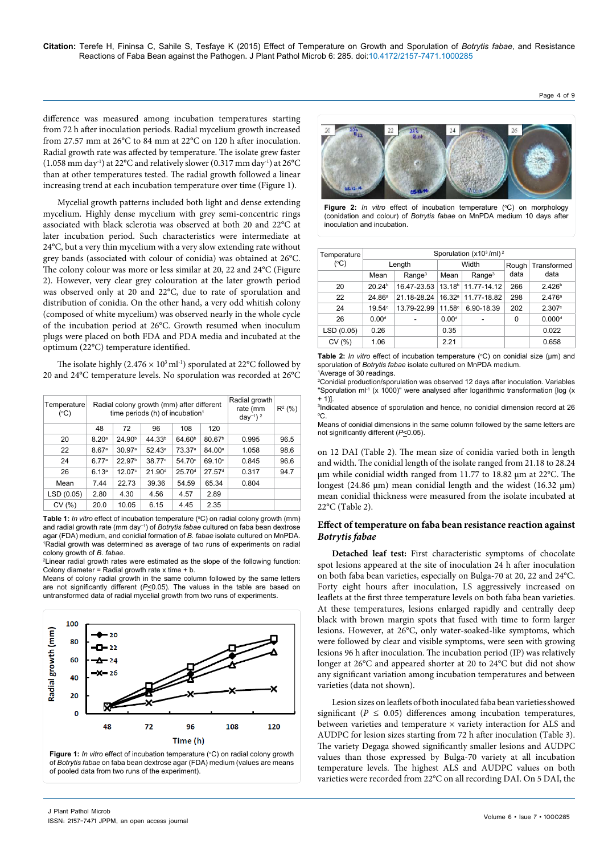difference was measured among incubation temperatures starting from 72 h after inoculation periods. Radial mycelium growth increased from 27.57 mm at 26°C to 84 mm at 22°C on 120 h after inoculation. Radial growth rate was affected by temperature. The isolate grew faster  $(1.058 \text{ mm day}^1)$  at 22°C and relatively slower  $(0.317 \text{ mm day}^1)$  at 26°C than at other temperatures tested. The radial growth followed a linear increasing trend at each incubation temperature over time (Figure 1).

Mycelial growth patterns included both light and dense extending mycelium. Highly dense mycelium with grey semi-concentric rings associated with black sclerotia was observed at both 20 and 22°C at later incubation period. Such characteristics were intermediate at 24°C, but a very thin mycelium with a very slow extending rate without grey bands (associated with colour of conidia) was obtained at 26°C. The colony colour was more or less similar at 20, 22 and 24°C (Figure 2). However, very clear grey colouration at the later growth period was observed only at 20 and 22°C, due to rate of sporulation and distribution of conidia. On the other hand, a very odd whitish colony (composed of white mycelium) was observed nearly in the whole cycle of the incubation period at 26°C. Growth resumed when inoculum plugs were placed on both FDA and PDA media and incubated at the optimum (22°C) temperature identified.

The isolate highly  $(2.476 \times 10^3 \text{ ml}^{-1})$  sporulated at 22°C followed by 20 and 24°C temperature levels. No sporulation was recorded at 26°C

| Temperature<br>(C) |                   | Radial colony growth (mm) after different<br>time periods (h) of incubation $1$ | Radial growth<br>rate (mm<br>day <sup>-1</sup> ) <sup>2</sup> | $R^2$ (%)          |                    |       |      |
|--------------------|-------------------|---------------------------------------------------------------------------------|---------------------------------------------------------------|--------------------|--------------------|-------|------|
|                    | 48                | 72                                                                              |                                                               |                    |                    |       |      |
| 20                 | 8.20 <sup>a</sup> | 24.90 <sup>b</sup>                                                              | 44.33 <sup>b</sup>                                            | 64.60 <sup>b</sup> | 80.67 <sup>b</sup> | 0.995 | 96.5 |
| 22                 | 8.67 <sup>a</sup> | 30.97 <sup>a</sup>                                                              | $52.43^a$                                                     | 73.37 <sup>a</sup> | 84.00 <sup>a</sup> | 1.058 | 98.6 |
| 24                 | 6.77a             | 22.97 <sup>b</sup>                                                              | 38.77 <sup>c</sup>                                            | $54.70^\circ$      | 69.10 <sup>c</sup> | 0.845 | 96.6 |
| 26                 | 6.13 <sup>a</sup> | 12.07c                                                                          | 21.90 <sup>d</sup>                                            | 25.70 <sup>d</sup> | 27.57 <sup>d</sup> | 0.317 | 94.7 |
| Mean               | 7.44              | 22.73                                                                           | 39.36                                                         | 54.59              | 65.34              | 0.804 |      |
| LSD (0.05)         | 2.80              | 4.30                                                                            | 4.56                                                          | 4.57               | 2.89               |       |      |
| CV(%)              | 20.0              | 10.05                                                                           | 6.15                                                          | 4.45               | 2.35               |       |      |

Table 1: *In vitro* effect of incubation temperature (°C) on radial colony growth (mm) and radial growth rate (mm day−1) of *Botrytis fabae* cultured on faba bean dextrose agar (FDA) medium, and conidial formation of *B. fabae* isolate cultured on MnPDA. 1 Radial growth was determined as average of two runs of experiments on radial colony growth of *B. fabae*.

<sup>2</sup>Linear radial growth rates were estimated as the slope of the following function: Colony diameter = Radial growth rate  $x$  time + b.

Means of colony radial growth in the same column followed by the same letters are not significantly different ( $P \le 0.05$ ). The values in the table are based on untransformed data of radial mycelial growth from two runs of experiments.



of *Botrytis fabae* on faba bean dextrose agar (FDA) medium (values are means of pooled data from two runs of the experiment).



**Figure 2:** In vitro effect of incubation temperature (°C) on morphology (conidation and colour) of *Botrytis fabae* on MnPDA medium 10 days after inoculation and incubation.

| Temperature<br>$(^{\circ}C)$ | Sporulation $(x10^3/ml)^2$ |                    |                            |                                |       |                    |  |  |  |
|------------------------------|----------------------------|--------------------|----------------------------|--------------------------------|-------|--------------------|--|--|--|
|                              |                            | Length             |                            | Width                          | Rough | Transformed        |  |  |  |
|                              | Mean                       | Range <sup>3</sup> | Range <sup>3</sup><br>Mean |                                | data  | data               |  |  |  |
| 20                           | 20.24 <sup>b</sup>         | 16.47-23.53        |                            | 13.18 11.77-14.12              | 266   | 2.426 <sup>b</sup> |  |  |  |
| 22                           | 24.86a                     | 21.18-28.24        |                            | 16.32 <sup>a</sup> 11.77-18.82 | 298   | 2.476a             |  |  |  |
| 24                           | 19.54 <sup>c</sup>         | 13.79-22.99        | 11.58 <sup>c</sup>         | 6.90-18.39                     | 202   | 2.307c             |  |  |  |
| 26                           | 0.00 <sup>d</sup>          |                    | 0.00 <sup>d</sup>          |                                | 0     | 0.000 <sup>d</sup> |  |  |  |
| LSD (0.05)                   | 0.26                       |                    | 0.35                       |                                |       | 0.022              |  |  |  |
| CV(%)                        | 1.06                       |                    | 2.21                       |                                |       | 0.658              |  |  |  |

**Table 2:** In vitro effect of incubation temperature (°C) on conidial size (μm) and sporulation of *Botrytis fabae* isolate cultured on MnPDA medium.

1 Average of 30 readings. 2 Conidial production/sporulation was observed 12 days after inoculation. Variables "Sporulation ml<sup>-1</sup> (x 1000)" were analysed after logarithmic transformation [log (x  $+ 1$ ].

3 Indicated absence of sporulation and hence, no conidial dimension record at 26 o C.

Means of conidial dimensions in the same column followed by the same letters are not significantly different ( $P \le 0.05$ ).

on 12 DAI (Table 2). The mean size of conidia varied both in length and width. The conidial length of the isolate ranged from 21.18 to 28.24 μm while conidial width ranged from 11.77 to 18.82 μm at 22°C. The longest (24.86 μm) mean conidial length and the widest (16.32 μm) mean conidial thickness were measured from the isolate incubated at 22°C (Table 2).

## **Effect of temperature on faba bean resistance reaction against**  *Botrytis fabae*

**Detached leaf test:** First characteristic symptoms of chocolate spot lesions appeared at the site of inoculation 24 h after inoculation on both faba bean varieties, especially on Bulga-70 at 20, 22 and 24°C. Forty eight hours after inoculation, LS aggressively increased on leaflets at the first three temperature levels on both faba bean varieties. At these temperatures, lesions enlarged rapidly and centrally deep black with brown margin spots that fused with time to form larger lesions. However, at 26°C, only water-soaked-like symptoms, which were followed by clear and visible symptoms, were seen with growing lesions 96 h after inoculation. The incubation period (IP) was relatively longer at 26°C and appeared shorter at 20 to 24°C but did not show any significant variation among incubation temperatures and between varieties (data not shown).

Lesion sizes on leaflets of both inoculated faba bean varietiesshowed significant ( $P \leq 0.05$ ) differences among incubation temperatures, between varieties and temperature × variety interaction for ALS and AUDPC for lesion sizes starting from 72 h after inoculation (Table 3). The variety Degaga showed significantly smaller lesions and AUDPC values than those expressed by Bulga-70 variety at all incubation temperature levels. The highest ALS and AUDPC values on both varieties were recorded from 22°C on all recording DAI. On 5 DAI, the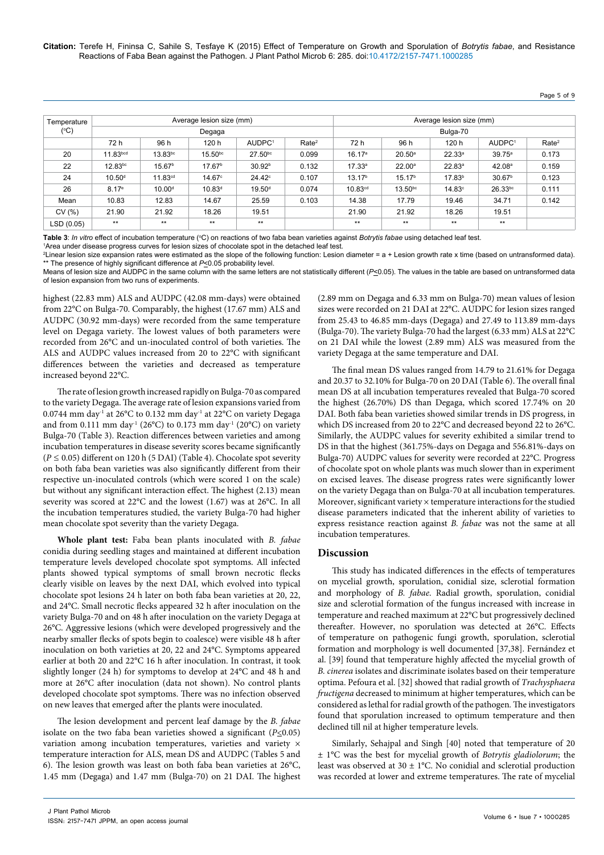## Page 5 of 9

| Temperature   |                    |                     | Average lesion size (mm) |                    |                   | Average lesion size (mm) |                    |                    |                    |                   |  |
|---------------|--------------------|---------------------|--------------------------|--------------------|-------------------|--------------------------|--------------------|--------------------|--------------------|-------------------|--|
| $(^{\circ}C)$ |                    | Degaga              |                          |                    |                   | Bulga-70                 |                    |                    |                    |                   |  |
|               | 72 h               | 96 h                | 120 h                    | AUDPC <sup>1</sup> | Rate <sup>2</sup> | 72 h                     | 96 h               | 120 h              | AUDPC <sup>1</sup> | Rate <sup>2</sup> |  |
| 20            | 11.83bcd           | 13.83bc             | $15.50^{bc}$             | $27.50^{bc}$       | 0.099             | 16.17 <sup>a</sup>       | $20.50^{\circ}$    | 22.33a             | 39.75 <sup>a</sup> | 0.173             |  |
| 22            | 12.83bc            | 15.67 <sup>b</sup>  | 17.67 <sup>b</sup>       | 30.92 <sup>b</sup> | 0.132             | 17.33a                   | $22.00^a$          | 22.83a             | 42.08 <sup>a</sup> | 0.159             |  |
| 24            | 10.50 <sup>d</sup> | 11.83 <sup>cd</sup> | 14.67 <sup>c</sup>       | $24.42^\circ$      | 0.107             | 13.17 <sup>b</sup>       | 15.17 <sup>b</sup> | 17.83 <sup>b</sup> | 30.67 <sup>b</sup> | 0.123             |  |
| 26            | 8.17e              | 10.00 <sup>d</sup>  | 10.83 <sup>d</sup>       | 19.50 <sup>d</sup> | 0.074             | 10.83 <sup>cd</sup>      | $13.50^{bc}$       | 14.83 <sup>c</sup> | $26.33^{bc}$       | 0.111             |  |
| Mean          | 10.83              | 12.83               | 14.67                    | 25.59              | 0.103             | 14.38                    | 17.79              | 19.46              | 34.71              | 0.142             |  |
| CV(% )        | 21.90              | 21.92               | 18.26                    | 19.51              |                   | 21.90                    | 21.92              | 18.26              | 19.51              |                   |  |
| LSD (0.05)    | $**$               | $**$                | $**$                     | $**$               |                   | $**$                     | $**$               | $**$               | $**$               |                   |  |

Table 3: *In vitro* effect of incubation temperature (°C) on reactions of two faba bean varieties against *Botrytis fabae* using detached leaf test.<br>1Area under disease progress curves for lesion sizes of chocolate spot in

<sup>1</sup> Area under disease progress curves for lesion sizes of chocolate spot in the detached leaf test.

2 Linear lesion size expansion rates were estimated as the slope of the following function: Lesion diameter = a + Lesion growth rate x time (based on untransformed data). \*\* The presence of highly significant difference at *P*<0.05 probability level.

Means of lesion size and AUDPC in the same column with the same letters are not statistically different (*P*<0.05). The values in the table are based on untransformed data of lesion expansion from two runs of experiments.

highest (22.83 mm) ALS and AUDPC (42.08 mm-days) were obtained from 22°C on Bulga-70. Comparably, the highest (17.67 mm) ALS and AUDPC (30.92 mm-days) were recorded from the same temperature level on Degaga variety. The lowest values of both parameters were recorded from 26°C and un-inoculated control of both varieties. The ALS and AUDPC values increased from 20 to 22°C with significant differences between the varieties and decreased as temperature increased beyond 22°C.

The rate of lesion growth increased rapidly on Bulga-70 as compared to the variety Degaga. The average rate of lesion expansions varied from 0.0744 mm day-1 at 26°C to 0.132 mm day-1 at 22°C on variety Degaga and from 0.111 mm day<sup>-1</sup> (26°C) to 0.173 mm day<sup>-1</sup> (20°C) on variety Bulga-70 (Table 3). Reaction differences between varieties and among incubation temperatures in disease severity scores became significantly (*P ≤* 0.05) different on 120 h (5 DAI) (Table 4). Chocolate spot severity on both faba bean varieties was also significantly different from their respective un-inoculated controls (which were scored 1 on the scale) but without any significant interaction effect. The highest (2.13) mean severity was scored at 22°C and the lowest (1.67) was at 26°C. In all the incubation temperatures studied, the variety Bulga-70 had higher mean chocolate spot severity than the variety Degaga.

**Whole plant test:** Faba bean plants inoculated with *B. fabae* conidia during seedling stages and maintained at different incubation temperature levels developed chocolate spot symptoms. All infected plants showed typical symptoms of small brown necrotic flecks clearly visible on leaves by the next DAI, which evolved into typical chocolate spot lesions 24 h later on both faba bean varieties at 20, 22, and 24°C. Small necrotic flecks appeared 32 h after inoculation on the variety Bulga-70 and on 48 h after inoculation on the variety Degaga at 26°C. Aggressive lesions (which were developed progressively and the nearby smaller flecks of spots begin to coalesce) were visible 48 h after inoculation on both varieties at 20, 22 and 24°C. Symptoms appeared earlier at both 20 and 22°C 16 h after inoculation. In contrast, it took slightly longer (24 h) for symptoms to develop at 24°C and 48 h and more at 26°C after inoculation (data not shown). No control plants developed chocolate spot symptoms. There was no infection observed on new leaves that emerged after the plants were inoculated.

The lesion development and percent leaf damage by the *B. fabae*  isolate on the two faba bean varieties showed a significant (*P*<0.05) variation among incubation temperatures, varieties and variety × temperature interaction for ALS, mean DS and AUDPC (Tables 5 and 6). The lesion growth was least on both faba bean varieties at 26°C, 1.45 mm (Degaga) and 1.47 mm (Bulga-70) on 21 DAI. The highest (2.89 mm on Degaga and 6.33 mm on Bulga-70) mean values of lesion sizes were recorded on 21 DAI at 22°C. AUDPC for lesion sizes ranged from 25.43 to 46.85 mm-days (Degaga) and 27.49 to 113.89 mm-days (Bulga-70). The variety Bulga-70 had the largest (6.33 mm) ALS at 22°C on 21 DAI while the lowest (2.89 mm) ALS was measured from the variety Degaga at the same temperature and DAI.

The final mean DS values ranged from 14.79 to 21.61% for Degaga and 20.37 to 32.10% for Bulga-70 on 20 DAI (Table 6). The overall final mean DS at all incubation temperatures revealed that Bulga-70 scored the highest (26.70%) DS than Degaga, which scored 17.74% on 20 DAI. Both faba bean varieties showed similar trends in DS progress, in which DS increased from 20 to 22°C and decreased beyond 22 to 26°C. Similarly, the AUDPC values for severity exhibited a similar trend to DS in that the highest (361.75%-days on Degaga and 556.81%-days on Bulga-70) AUDPC values for severity were recorded at 22°C. Progress of chocolate spot on whole plants was much slower than in experiment on excised leaves. The disease progress rates were significantly lower on the variety Degaga than on Bulga-70 at all incubation temperatures. Moreover, significant variety  $\times$  temperature interactions for the studied disease parameters indicated that the inherent ability of varieties to express resistance reaction against *B. fabae* was not the same at all incubation temperatures.

## **Discussion**

This study has indicated differences in the effects of temperatures on mycelial growth, sporulation, conidial size, sclerotial formation and morphology of *B. fabae*. Radial growth, sporulation, conidial size and sclerotial formation of the fungus increased with increase in temperature and reached maximum at 22°C but progressively declined thereafter. However, no sporulation was detected at 26°C. Effects of temperature on pathogenic fungi growth, sporulation, sclerotial formation and morphology is well documented [37,38]. Fernández et al. [39] found that temperature highly affected the mycelial growth of *B. cinerea* isolates and discriminate isolates based on their temperature optima. Pefoura et al. [32] showed that radial growth of *Trachysphaera fructigena* decreased to minimum at higher temperatures, which can be considered as lethal for radial growth of the pathogen*.* The investigators found that sporulation increased to optimum temperature and then declined till nil at higher temperature levels.

Similarly, Sehajpal and Singh [40] noted that temperature of 20 ± 1°C was the best for mycelial growth of *Botrytis gladiolorum*; the least was observed at  $30 \pm 1$ °C. No conidial and sclerotial production was recorded at lower and extreme temperatures. The rate of mycelial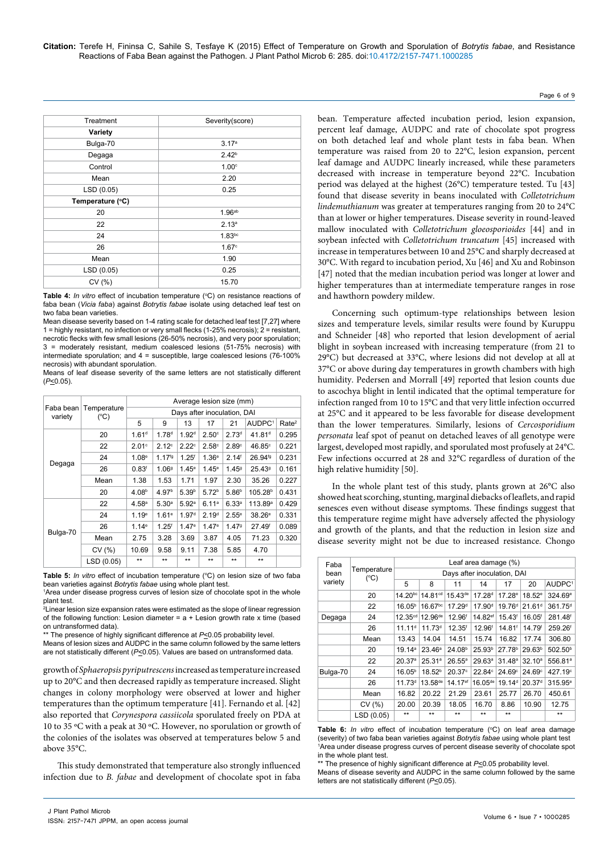| Treatment        | Severity(score)    |
|------------------|--------------------|
| Variety          |                    |
| Bulga-70         | 3.17 <sup>a</sup>  |
| Degaga           | $2.42^{b}$         |
| Control          | 1.00 <sup>c</sup>  |
| Mean             | 2.20               |
| LSD (0.05)       | 0.25               |
| Temperature (°C) |                    |
| 20               | 1.96 <sup>ab</sup> |
| 22               | 2.13 <sup>a</sup>  |
| 24               | 1.83 <sub>bc</sub> |
| 26               | 1.67 <sup>c</sup>  |
| Mean             | 1.90               |
| LSD (0.05)       | 0.25               |
| CV(%)            | 15.70              |

**Table 4:** In vitro effect of incubation temperature (°C) on resistance reactions of faba bean (*Vicia faba*) against *Botrytis fabae* isolate using detached leaf test on two faba bean varieties.

Mean disease severity based on 1-4 rating scale for detached leaf test [7,27] where 1 = highly resistant, no infection or very small flecks (1-25% necrosis); 2 = resistant, necrotic flecks with few small lesions (26-50% necrosis), and very poor sporulation; 3 = moderately resistant, medium coalesced lesions (51-75% necrosis) with intermediate sporulation; and 4 = susceptible, large coalesced lesions (76-100% necrosis) with abundant sporulation.

Means of leaf disease severity of the same letters are not statistically different (*P*<0.05).

| Faba bean<br>variety |                     | Average lesion size (mm)    |                    |                   |                   |                   |                     |                   |  |  |
|----------------------|---------------------|-----------------------------|--------------------|-------------------|-------------------|-------------------|---------------------|-------------------|--|--|
|                      | Temperature<br>(°C) | Days after inoculation, DAI |                    |                   |                   |                   |                     |                   |  |  |
|                      |                     | 5                           | 9                  | 13                | 17                | 21                | AUDPC <sup>1</sup>  | Rate <sup>2</sup> |  |  |
|                      | 20                  | 1.61 <sup>d</sup>           | 1.78 <sup>d</sup>  | 1.92 <sup>d</sup> | $2.50^\circ$      | 2.73 <sup>d</sup> | 41.81 <sup>d</sup>  | 0.295             |  |  |
|                      | 22                  | 2.01c                       | 2.12 <sup>c</sup>  | 2.22c             | 2.58c             | 2.89°             | 46.85c              | 0.221             |  |  |
|                      | 24                  | 1.08 <sup>e</sup>           | 1.17 <sup>fg</sup> | 1.25 <sup>f</sup> | 1.36 <sup>e</sup> | 2.14 <sup>f</sup> | 26.94 <sup>fg</sup> | 0.231             |  |  |
| Degaga               | 26                  | 0.83 <sup>f</sup>           | 1.069              | 1.45 <sup>e</sup> | 1.45 <sup>e</sup> | 1.459             | 25.43 <sup>9</sup>  | 0.161             |  |  |
|                      | Mean                | 1.38                        | 1.53               | 1.71              | 1.97              | 2.30              | 35.26               | 0.227             |  |  |
|                      | 20                  | 4.08 <sup>b</sup>           | 4.97 <sup>b</sup>  | 5.39 <sup>b</sup> | 5.72 <sup>b</sup> | 5.86 <sup>b</sup> | 105.28 <sup>b</sup> | 0.431             |  |  |
|                      | 22                  | 4.58 <sup>a</sup>           | 5.30 <sup>a</sup>  | 5.92a             | 6.11a             | 6.33a             | 113.89 <sup>a</sup> | 0.429             |  |  |
|                      | 24                  | 1.19 <sup>e</sup>           | 1.61e              | 1.97 <sup>d</sup> | 2.19 <sup>d</sup> | 2.55e             | 38.26e              | 0.331             |  |  |
|                      | 26                  | 1.14e                       | 1.25 <sup>f</sup>  | 1.47e             | 1.47e             | 1.479             | 27.49 <sup>f</sup>  | 0.089             |  |  |
| Bulga-70             | Mean                | 2.75                        | 3.28               | 3.69              | 3.87              | 4.05              | 71.23               | 0.320             |  |  |
|                      | CV(%)               | 10.69                       | 9.58               | 9.11              | 7.38              | 5.85              | 4.70                |                   |  |  |
|                      | LSD (0.05)          | $**$                        | $**$               | $**$              | $**$              | $***$             | $**$                |                   |  |  |

**Table 5:** In vitro effect of incubation temperature (°C) on lesion size of two faba bean varieties against *Botrytis fabae* using whole plant test.

1 Area under disease progress curves of lesion size of chocolate spot in the whole plant test.

2 Linear lesion size expansion rates were estimated as the slope of linear regression of the following function: Lesion diameter =  $a +$  Lesion growth rate x time (based on untransformed data).

\*\* The presence of highly significant difference at  $P \le 0.05$  probability level.

Means of lesion sizes and AUDPC in the same column followed by the same letters are not statistically different (*P*<0.05). Values are based on untransformed data.

growth of *Sphaeropsis pyriputrescens* increased as temperature increased up to 20°C and then decreased rapidly as temperature increased. Slight changes in colony morphology were observed at lower and higher temperatures than the optimum temperature [41]. Fernando et al. [42] also reported that *Corynespora cassiicola* sporulated freely on PDA at 10 to 35 ºC with a peak at 30 ºC. However, no sporulation or growth of the colonies of the isolates was observed at temperatures below 5 and above 35°C.

This study demonstrated that temperature also strongly influenced infection due to *B. fabae* and development of chocolate spot in faba bean. Temperature affected incubation period, lesion expansion, percent leaf damage, AUDPC and rate of chocolate spot progress on both detached leaf and whole plant tests in faba bean. When temperature was raised from 20 to 22°C, lesion expansion, percent leaf damage and AUDPC linearly increased, while these parameters decreased with increase in temperature beyond 22°C. Incubation period was delayed at the highest (26°C) temperature tested. Tu [43] found that disease severity in beans inoculated with *Colletotrichum lindemuthianum* was greater at temperatures ranging from 20 to 24°C than at lower or higher temperatures. Disease severity in round-leaved mallow inoculated with *Colletotrichum gloeosporioides* [44] and in soybean infected with *Colletotrichum truncatum* [45] increased with increase in temperatures between 10 and 25°C and sharply decreased at 30°C. With regard to incubation period, Xu [46] and Xu and Robinson [47] noted that the median incubation period was longer at lower and higher temperatures than at intermediate temperature ranges in rose and hawthorn powdery mildew.

Concerning such optimum-type relationships between lesion sizes and temperature levels, similar results were found by Kuruppu and Schneider [48] who reported that lesion development of aerial blight in soybean increased with increasing temperature (from 21 to 29°C) but decreased at 33°C, where lesions did not develop at all at 37°C or above during day temperatures in growth chambers with high humidity. Pedersen and Morrall [49] reported that lesion counts due to ascochya blight in lentil indicated that the optimal temperature for infection ranged from 10 to 15°C and that very little infection occurred at 25°C and it appeared to be less favorable for disease development than the lower temperatures. Similarly, lesions of *Cercosporidium personata* leaf spot of peanut on detached leaves of all genotype were largest, developed most rapidly, and sporulated most profusely at 24°C. Few infections occurred at 28 and 32°C regardless of duration of the high relative humidity [50].

In the whole plant test of this study, plants grown at 26°C also showed heat scorching, stunting, marginal diebacks of leaflets, and rapid senesces even without disease symptoms. These findings suggest that this temperature regime might have adversely affected the physiology and growth of the plants, and that the reduction in lesion size and disease severity might not be due to increased resistance. Chongo

| Faba<br>bean<br>variety | Temperature<br>(°C) | Leaf area damage (%)        |                      |                     |                     |                    |                    |                     |  |
|-------------------------|---------------------|-----------------------------|----------------------|---------------------|---------------------|--------------------|--------------------|---------------------|--|
|                         |                     | Days after inoculation, DAI |                      |                     |                     |                    |                    |                     |  |
|                         |                     | 5                           | 8                    | 11                  | 14                  | 17                 | 20                 | AUDPC <sup>1</sup>  |  |
|                         | 20                  | $14.20^{bc}$                | 14.81 <sup>cd</sup>  | $15.43^{de}$        | $17.28^{d}$         | $17.28^{\circ}$    | $18.52^e$          | 324.69 <sup>e</sup> |  |
|                         | 22                  | 16.05 <sup>b</sup>          | 16.67 <sup>bc</sup>  | 17.29 <sup>d</sup>  | 17.90 <sup>d</sup>  | 19.76 <sup>d</sup> | 21.61 <sup>d</sup> | 361.75 <sup>d</sup> |  |
| Degaga                  | 24                  | 12.35 <sup>cd</sup>         | 12.96 <sup>de</sup>  | 12.96 <sup>f</sup>  | 14.82ef             | 15.43 <sup>f</sup> | 16.05 <sup>f</sup> | 281.48 <sup>f</sup> |  |
|                         | 26                  | 11.11 <sup>d</sup>          | 11.73 <sup>d</sup>   | 12.35 <sup>f</sup>  | 12.96 <sup>f</sup>  | 14.81 <sup>f</sup> | 14.79f             | 259.26              |  |
|                         | Mean                | 13.43                       | 14.04                | 14.51               | 15.74               | 16.82              | 17.74              | 306.80              |  |
|                         | 20                  | 19.14a                      | 23.46 <sup>a</sup>   | 24.08 <sup>b</sup>  | 25.93 <sup>b</sup>  | 27.78 <sup>b</sup> | 29.63 <sup>b</sup> | 502.50 <sup>b</sup> |  |
|                         | 22                  | 20.37 <sup>a</sup>          | 25.31a               | $26.55^{\circ}$     | 29.63 <sup>a</sup>  | 31.48 <sup>a</sup> | 32.10 <sup>a</sup> | 556.81 <sup>a</sup> |  |
| Bulga-70                | 24                  | 16.05 <sup>b</sup>          | 18.52 <sup>b</sup>   | $20.37$ °           | $22.84^\circ$       | $24.69^\circ$      | $24.69^\circ$      | 427.19 <sup>c</sup> |  |
|                         | 26                  | 11.73 <sup>d</sup>          | 13.58 <sup>de</sup>  | 14.17 <sup>ef</sup> | 16.05 <sup>de</sup> | 19.14 <sup>d</sup> | 20.37 <sup>d</sup> | 315.95 <sup>e</sup> |  |
|                         | Mean                | 16.82                       | 20.22                | 21.29               | 23.61               | 25.77              | 26.70              | 450.61              |  |
|                         | CV(%)               | 20.00                       | 20.39                | 18.05               | 16.70               | 8.86               | 10.90              | 12.75               |  |
|                         | LSD (0.05)          | $+ +$                       | $\ddot{\phantom{1}}$ | $**$                | $+ +$               | $**$               |                    | $**$                |  |

Table 6: *In vitro* effect of incubation temperature (°C) on leaf area damage (severity) of two faba bean varieties against *Botrytis fabae* using whole plant test 1 Area under disease progress curves of percent disease severity of chocolate spot in the whole plant test.

\*\* The presence of highly significant difference at P<0.05 probability level.

Means of disease severity and AUDPC in the same column followed by the same letters are not statistically different (*P*<0.05).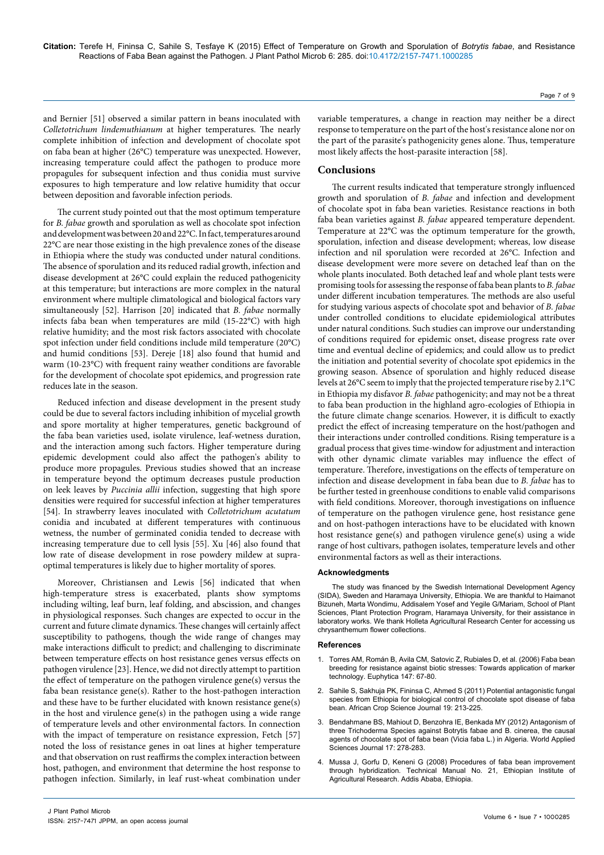and Bernier [51] observed a similar pattern in beans inoculated with *Colletotrichum lindemuthianum* at higher temperatures. The nearly complete inhibition of infection and development of chocolate spot on faba bean at higher (26°C) temperature was unexpected. However, increasing temperature could affect the pathogen to produce more propagules for subsequent infection and thus conidia must survive exposures to high temperature and low relative humidity that occur between deposition and favorable infection periods.

The current study pointed out that the most optimum temperature for *B. fabae* growth and sporulation as well as chocolate spot infection and development was between 20 and 22°C. In fact, temperatures around 22°C are near those existing in the high prevalence zones of the disease in Ethiopia where the study was conducted under natural conditions. The absence of sporulation and its reduced radial growth, infection and disease development at 26°C could explain the reduced pathogenicity at this temperature; but interactions are more complex in the natural environment where multiple climatological and biological factors vary simultaneously [52]. Harrison [20] indicated that *B. fabae* normally infects faba bean when temperatures are mild (15-22°C) with high relative humidity; and the most risk factors associated with chocolate spot infection under field conditions include mild temperature (20°C) and humid conditions [53]. Dereje [18] also found that humid and warm (10-23°C) with frequent rainy weather conditions are favorable for the development of chocolate spot epidemics, and progression rate reduces late in the season.

Reduced infection and disease development in the present study could be due to several factors including inhibition of mycelial growth and spore mortality at higher temperatures, genetic background of the faba bean varieties used, isolate virulence, leaf-wetness duration, and the interaction among such factors. Higher temperature during epidemic development could also affect the pathogen's ability to produce more propagules. Previous studies showed that an increase in temperature beyond the optimum decreases pustule production on leek leaves by *Puccinia allii* infection, suggesting that high spore densities were required for successful infection at higher temperatures [54]. In strawberry leaves inoculated with *Colletotrichum acutatum*  conidia and incubated at different temperatures with continuous wetness, the number of germinated conidia tended to decrease with increasing temperature due to cell lysis [55]. Xu [46] also found that low rate of disease development in rose powdery mildew at supraoptimal temperatures is likely due to higher mortality of spores.

Moreover, Christiansen and Lewis [56] indicated that when high-temperature stress is exacerbated, plants show symptoms including wilting, leaf burn, leaf folding, and abscission, and changes in physiological responses. Such changes are expected to occur in the current and future climate dynamics. These changes will certainly affect susceptibility to pathogens, though the wide range of changes may make interactions difficult to predict; and challenging to discriminate between temperature effects on host resistance genes versus effects on pathogen virulence [23]. Hence, we did not directly attempt to partition the effect of temperature on the pathogen virulence gene(s) versus the faba bean resistance gene(s). Rather to the host-pathogen interaction and these have to be further elucidated with known resistance gene(s) in the host and virulence gene(s) in the pathogen using a wide range of temperature levels and other environmental factors. In connection with the impact of temperature on resistance expression, Fetch [57] noted the loss of resistance genes in oat lines at higher temperature and that observation on rust reaffirms the complex interaction between host, pathogen, and environment that determine the host response to pathogen infection. Similarly, in leaf rust-wheat combination under

variable temperatures, a change in reaction may neither be a direct response to temperature on the part of the host's resistance alone nor on the part of the parasite's pathogenicity genes alone. Thus, temperature most likely affects the host-parasite interaction [58].

## **Conclusions**

The current results indicated that temperature strongly influenced growth and sporulation of *B. fabae* and infection and development of chocolate spot in faba bean varieties. Resistance reactions in both faba bean varieties against *B. fabae* appeared temperature dependent. Temperature at 22°C was the optimum temperature for the growth, sporulation, infection and disease development; whereas, low disease infection and nil sporulation were recorded at 26°C. Infection and disease development were more severe on detached leaf than on the whole plants inoculated. Both detached leaf and whole plant tests were promising tools for assessing the response of faba bean plants to *B. fabae* under different incubation temperatures. The methods are also useful for studying various aspects of chocolate spot and behavior of *B. fabae* under controlled conditions to elucidate epidemiological attributes under natural conditions. Such studies can improve our understanding of conditions required for epidemic onset, disease progress rate over time and eventual decline of epidemics; and could allow us to predict the initiation and potential severity of chocolate spot epidemics in the growing season. Absence of sporulation and highly reduced disease levels at 26°C seem to imply that the projected temperature rise by 2.1°C in Ethiopia my disfavor *B. fabae* pathogenicity; and may not be a threat to faba bean production in the highland agro-ecologies of Ethiopia in the future climate change scenarios. However, it is difficult to exactly predict the effect of increasing temperature on the host/pathogen and their interactions under controlled conditions. Rising temperature is a gradual process that gives time-window for adjustment and interaction with other dynamic climate variables may influence the effect of temperature. Therefore, investigations on the effects of temperature on infection and disease development in faba bean due to *B. fabae* has to be further tested in greenhouse conditions to enable valid comparisons with field conditions. Moreover, thorough investigations on influence of temperature on the pathogen virulence gene, host resistance gene and on host-pathogen interactions have to be elucidated with known host resistance gene(s) and pathogen virulence gene(s) using a wide range of host cultivars, pathogen isolates, temperature levels and other environmental factors as well as their interactions.

#### **Acknowledgments**

The study was financed by the Swedish International Development Agency (SIDA), Sweden and Haramaya University, Ethiopia. We are thankful to Haimanot Bizuneh, Marta Wondimu, Addisalem Yosef and Yegile G/Mariam, School of Plant Sciences, Plant Protection Program, Haramaya University, for their assistance in laboratory works. We thank Holleta Agricultural Research Center for accessing us chrysanthemum flower collections.

#### **References**

- 1. Torres AM, Román B, Avila CM, Satovic Z, Rubiales D, et [al. \(2006\) Faba](http://link.springer.com/article/10.1007/s10681-006-4057-6#page-1) bean breeding for resistance against biotic [stresses: Towards](http://link.springer.com/article/10.1007/s10681-006-4057-6#page-1) application of marker [technology. Euphytica](http://link.springer.com/article/10.1007/s10681-006-4057-6#page-1) 147: 67-80.
- 2. Sahile S, Sakhuja PK, Fininsa C, Ahmed [S \(2011\) Potential](http://www.ajol.info/index.php/acsj/article/view/74167) antagonistic fungal species from Ethiopia for biological control of [chocolate](http://www.ajol.info/index.php/acsj/article/view/74167) spot disease of faba [bean. African](http://www.ajol.info/index.php/acsj/article/view/74167) Crop Science Journal 19: 213-225.
- 3. Bendahmane BS, Mahiout D, Benzohra IE, Benkada [MY \(2012\) Antagonism](http://idosi.org/wasj/wasj17(3)12/2.pdf) of three Trichoderma Species against Botrytis fabae and [B. cinerea, the](http://idosi.org/wasj/wasj17(3)12/2.pdf) causal agents of chocolate spot of faba bean (Vicia faba L.) in [Algeria. World](http://idosi.org/wasj/wasj17(3)12/2.pdf) Applied Sciences Journal [17: 278-283.](http://idosi.org/wasj/wasj17(3)12/2.pdf)
- Mussa J, Gorfu D, Keneni G (2008) Procedures of faba bean improvement through hybridization. Technical Manual No. 21, Ethiopian Institute of Agricultural Research. Addis Ababa, Ethiopia.

Page 7 of 9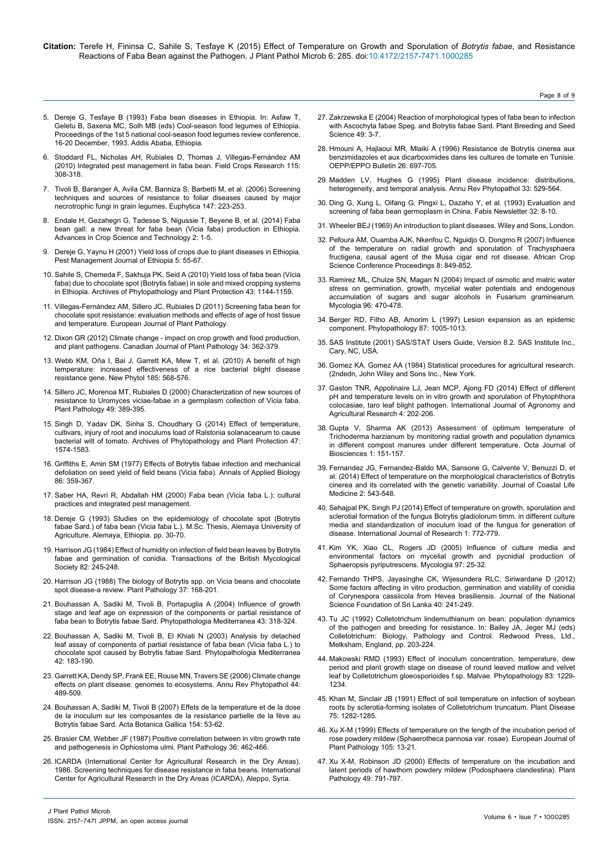- 5. Dereje G, Tesfaye B (1993) Faba bean diseases in [Ethiopia. In: Asfaw](http://agris.fao.org/agris-search/search.do?recordID=ET9600043) T, Geletu B, Saxena MC, Solh [MB \(eds\) Cool-season](http://agris.fao.org/agris-search/search.do?recordID=ET9600043) food legumes of Ethiopia. [Proceedings](http://agris.fao.org/agris-search/search.do?recordID=ET9600043) of the 1st 5 national cool-season food legumes review conference, 16-20 [December, 1993. Addis](http://agris.fao.org/agris-search/search.do?recordID=ET9600043) Ababa, Ethiopia.
- 6. Stoddard FL, Nicholas AH, Rubiales D, Thomas [J, Villegas-Fernández](http://www.sciencedirect.com/science/article/pii/S0378429009001737) AM [\(2010\) Integrated](http://www.sciencedirect.com/science/article/pii/S0378429009001737) pest management in faba bean. Field Crops Research 115: [308-318.](http://www.sciencedirect.com/science/article/pii/S0378429009001737)
- 7. Tivoli B, Baranger A, Avila CM, Banniza S, Barbetti M, et [al. \(2006\) Screening](http://link.springer.com/article/10.1007/s10681-006-3131-4#page-1) [techniques](http://link.springer.com/article/10.1007/s10681-006-3131-4#page-1) and sources of resistance to foliar diseases caused by major necrotrophic fungi in grain [legumes. Euphytica](http://link.springer.com/article/10.1007/s10681-006-3131-4#page-1) 147: 223-253.
- 8. Endale H, Gezahegn G, Tadesse S, Nigussie T, Beyene B, et [al. \(2014\) Faba](http://www.researchgate.net/profile/Tamene_Tolessa/publication/269992081_Faba_Bean_Gall_a_New_Threat_for_Faba_Bean_(Vicia_faba)_Production_in_Ethiopia/links/549d0e3e0cf2fedbc30fe80d.pdf) bean gall: a new threat for faba bean (Vicia [faba\) production](http://www.researchgate.net/profile/Tamene_Tolessa/publication/269992081_Faba_Bean_Gall_a_New_Threat_for_Faba_Bean_(Vicia_faba)_Production_in_Ethiopia/links/549d0e3e0cf2fedbc30fe80d.pdf) in Ethiopia. Advances in Crop Science and [Technology](http://www.researchgate.net/profile/Tamene_Tolessa/publication/269992081_Faba_Bean_Gall_a_New_Threat_for_Faba_Bean_(Vicia_faba)_Production_in_Ethiopia/links/549d0e3e0cf2fedbc30fe80d.pdf) 2: 1-5.
- 9. Dereje G, Yaynu [H \(2001\) Yield](http://agris.fao.org/agris-search/search.do?recordID=ET2003000103) loss of crops due to plant diseases in Ethiopia. Pest [Management](http://agris.fao.org/agris-search/search.do?recordID=ET2003000103) Journal of Ethiopia 5: 55-67.
- 10. Sahile S, Chemeda F, Sakhuja PK, Seid [A \(2010\) Yield](http://www.tandfonline.com/doi/abs/10.1080/03235400802343791) loss of faba bean (Vicia faba) due to chocolate [spot \(Botrytis](http://www.tandfonline.com/doi/abs/10.1080/03235400802343791) fabae) in sole and mixed cropping systems in [Ethiopia. Archives](http://www.tandfonline.com/doi/abs/10.1080/03235400802343791) of Phytopathology and Plant Protection 43: 1144-1159.
- 11. Villegas-Fernández AM, Sillero JC, Rubiales [D \(2011\) Screening](http://link.springer.com/article/10.1007/s10658-011-9889-9#page-1) faba bean for chocolate spot [resistance: evaluation](http://link.springer.com/article/10.1007/s10658-011-9889-9#page-1) methods and effects of age of host tissue and [temperature. European](http://link.springer.com/article/10.1007/s10658-011-9889-9#page-1) Journal of Plant Pathology.
- 12. Dixon [GR \(2012\) Climate](http://www.tandfonline.com/doi/abs/10.1080/07060661.2012.701233#.VbNKYvmqqko) change impact on crop growth and food production, and plant [pathogens. Canadian](http://www.tandfonline.com/doi/abs/10.1080/07060661.2012.701233#.VbNKYvmqqko) Journal of Plant Pathology 34: 362-379.
- 13. Webb KM, Oña I, Bai J, Garrett KA, Mew T, et [al. \(2010\) A](http://www.ncbi.nlm.nih.gov/pubmed/19878463) benefit of high [temperature: increased](http://www.ncbi.nlm.nih.gov/pubmed/19878463) effectiveness of a rice bacterial blight disease resistance gene. New Phytol [185: 568-576.](http://www.ncbi.nlm.nih.gov/pubmed/19878463)
- 14. Sillero JC, Morenoa MT, Rubiales [D \(2000\) Characterization](http://onlinelibrary.wiley.com/doi/10.1046/j.1365-3059.2000.00459.x/abstract;jsessionid=322588704A2AC2175F9E18AC0AB8214A.f02t01) of new sources of resistance to Uromyces [viciae-fabae](http://onlinelibrary.wiley.com/doi/10.1046/j.1365-3059.2000.00459.x/abstract;jsessionid=322588704A2AC2175F9E18AC0AB8214A.f02t01) in a germplasm collection of Vicia faba. Plant Pathology [49: 389-395.](http://onlinelibrary.wiley.com/doi/10.1046/j.1365-3059.2000.00459.x/abstract;jsessionid=322588704A2AC2175F9E18AC0AB8214A.f02t01)
- 15. Singh D, Yadav DK, Sinha S, Choudhary [G \(2014\) Effect](http://www.tandfonline.com/doi/abs/10.1080/03235408.2013.851332#.VbNKhPmqqko) of temperature, [cultivars, injury](http://www.tandfonline.com/doi/abs/10.1080/03235408.2013.851332#.VbNKhPmqqko) of root and inoculums load of Ralstonia solanacearum to cause bacterial wilt of [tomato. Archives](http://www.tandfonline.com/doi/abs/10.1080/03235408.2013.851332#.VbNKhPmqqko) of Phytopathology and Plant Protection 47: [1574-1583.](http://www.tandfonline.com/doi/abs/10.1080/03235408.2013.851332#.VbNKhPmqqko)
- 16. Griffiths E, Amin [SM \(1977\) Effects](http://onlinelibrary.wiley.com/doi/10.1111/j.1744-7348.1977.tb01850.x/abstract) of Botrytis fabae infection and mechanical defoliation on seed yield of field beans (Vicia [faba\). Annals](http://onlinelibrary.wiley.com/doi/10.1111/j.1744-7348.1977.tb01850.x/abstract) of Applied Biology [86: 359-367.](http://onlinelibrary.wiley.com/doi/10.1111/j.1744-7348.1977.tb01850.x/abstract)
- 17. Saber HA, Revri R, Abdallah HM (2000) Faba bean (Vicia faba L.): cultural practices and integrated pest management.
- 18. Dereje G (1993) Studies on the epidemiology of chocolate spot (Botrytis fabae Sard.) of faba bean (Vicia faba L.). M.Sc. Thesis, Alemaya University of Agriculture. Alemaya, Ethiopia. pp. 30-70.
- 19. Harrison [JG \(1984\) Effect](http://www.sciencedirect.com/science/article/pii/S0007153684800662) of humidity on infection of field bean leaves by Botrytis fabae and germination of [conidia. Transactions](http://www.sciencedirect.com/science/article/pii/S0007153684800662) of the British Mycological Society [82: 245-248.](http://www.sciencedirect.com/science/article/pii/S0007153684800662)
- 20. Harrison [JG \(1988\) The](http://onlinelibrary.wiley.com/doi/10.1111/j.1365-3059.1988.tb02064.x/abstract) biology of Botrytis spp. on Vicia beans and chocolate spot disease-a [review. Plant](http://onlinelibrary.wiley.com/doi/10.1111/j.1365-3059.1988.tb02064.x/abstract) Pathology 37: 168-201.
- 21. Bouhassan A, Sadiki M, Tivoli [B, Portapuglia](http://www.torrossa.it/resources/an/2194564#page=10) A (2004) Influence of growth stage and leaf age on expression of the [components](http://www.torrossa.it/resources/an/2194564#page=10) or partial resistance of faba bean to Botrytis fabae [Sard. Phytopathologia](http://www.torrossa.it/resources/an/2194564#page=10) Mediterranea 43: 318-324.
- 22. Bouhassan A, Sadiki M, Tivoli B, El Khiati [N \(2003\) Analysis](http://www.torrossa.it/resources/an/2194560#page=89) by detached leaf assay of [components](http://www.torrossa.it/resources/an/2194560#page=89) of partial resistance of faba bean (Vicia faba L.) to chocolate spot caused by Botrytis fabae [Sard. Phytopathologia](http://www.torrossa.it/resources/an/2194560#page=89) Mediterranea [42: 183-190.](http://www.torrossa.it/resources/an/2194560#page=89)
- 23. Garrett KA, Dendy SP, Frank EE, Rouse MN, Travers [SE \(2006\) Climate](http://www.ncbi.nlm.nih.gov/pubmed/16722808) change effects on plant disease: genomes to [ecosystems. Annu](http://www.ncbi.nlm.nih.gov/pubmed/16722808) Rev Phytopathol 44: [489-509.](http://www.ncbi.nlm.nih.gov/pubmed/16722808)
- 24. Bouhassan A, Sadiki M, Tivoli [B \(2007\) Effets](http://www.tandfonline.com/doi/abs/10.1080/12538078.2007.10516044#.VbNLPPmqqko) de la temperature et de la dose de la inoculum sur les [composantes](http://www.tandfonline.com/doi/abs/10.1080/12538078.2007.10516044#.VbNLPPmqqko) de la resistance partielle de la fève au Botrytis fabae Sard. Acta Botanica Gallica [154: 53-62.](http://www.tandfonline.com/doi/abs/10.1080/12538078.2007.10516044#.VbNLPPmqqko)
- 25. Brasier CM, Webber [JF \(1987\) Positive](http://onlinelibrary.wiley.com/doi/10.1111/j.1365-3059.1987.tb02263.x/abstract) correlation between in vitro growth rate and [pathogenesis](http://onlinelibrary.wiley.com/doi/10.1111/j.1365-3059.1987.tb02263.x/abstract) in Ophiostoma ulmi. Plant Pathology 36: 462-466.
- 26. [ICARDA \(International](http://www.sidalc.net/cgi-bin/wxis.exe/?IsisScript=UAA.xis&method=post&formato=2&cantidad=1&expresion=mfn=004583) Center for Agricultural Research in the Dry Areas), 1986. Screening techniques for disease resistance in faba [beans. International](http://www.sidalc.net/cgi-bin/wxis.exe/?IsisScript=UAA.xis&method=post&formato=2&cantidad=1&expresion=mfn=004583) Center for Agricultural Research in the Dry [Areas \(ICARDA\), Aleppo, Syria.](http://www.sidalc.net/cgi-bin/wxis.exe/?IsisScript=UAA.xis&method=post&formato=2&cantidad=1&expresion=mfn=004583)

27. Zakrzewska E (2004) Reaction of morphological types of faba bean to infection with Ascochyta fabae Speg. and Botrytis fabae Sard. Plant Breeding and Seed Science 49: 3-7.

Page 8 of 9

- 28. Hmouni A, Hajlaoui MR, Mlaiki [A \(1996\) Resistance](http://onlinelibrary.wiley.com/doi/10.1111/j.1365-2338.1996.tb01513.x/abstract) de Botrytis cinerea aux [benzimidazoles](http://onlinelibrary.wiley.com/doi/10.1111/j.1365-2338.1996.tb01513.x/abstract) et aux dicarboximides dans les cultures de tomate en Tunisie. [OEPP/EPPO](http://onlinelibrary.wiley.com/doi/10.1111/j.1365-2338.1996.tb01513.x/abstract) Bulletin 26: 697-705.
- 29. Madden LV, Hughes G (1995) Plant disease [incidence: distributions,](http://www.ncbi.nlm.nih.gov/pubmed/18999972) [heterogeneity, and](http://www.ncbi.nlm.nih.gov/pubmed/18999972) temporal analysis. Annu Rev Phytopathol 33: 529-564.
- 30. Ding G, Xung L, Oifang G, Pingxi L, Dazaho Y, et al. (1993) Evaluation and screening of faba bean germoplasm in China. Fabis Newsletter 32: 8-10.
- 31. Wheeler BEJ (1969) An introduction to plant [diseases. Wiley](http://www.cabdirect.org/abstracts/19701604180.html;jsessionid=426748CF847F34153077FF14D772CEB5) and Sons, London.
- 32. Pefoura AM, Ouamba [AJK, Nkenfou](http://www.cabdirect.org/abstracts/20103268379.html) C, Nguidjo O, Dongmo R (2007) Influence of the temperature on radial growth and sporulation of [Trachysphaera](http://www.cabdirect.org/abstracts/20103268379.html) [fructigena, causal](http://www.cabdirect.org/abstracts/20103268379.html) agent of the Musa cigar end rot disease. African Crop Science Conference [Proceedings](http://www.cabdirect.org/abstracts/20103268379.html) 8: 849-852.
- 33. Ramirez ML, Chulze SN, Magan [N \(2004\) Impact](http://www.ncbi.nlm.nih.gov/pubmed/21148870) of osmotic and matric water stress on [germination, growth, mycelial](http://www.ncbi.nlm.nih.gov/pubmed/21148870) water potentials and endogenous accumulation of sugars and sugar alcohols in Fusarium [graminearum.](http://www.ncbi.nlm.nih.gov/pubmed/21148870)  Mycologia [96: 470-478.](http://www.ncbi.nlm.nih.gov/pubmed/21148870)
- 34. Berger RD, Filho AB, Amorim [L \(1997\) Lesion](http://www.ncbi.nlm.nih.gov/pubmed/18945033) expansion as an epidemic [component. Phytopathology](http://www.ncbi.nlm.nih.gov/pubmed/18945033) 87: 1005-1013.
- 35. SAS Institute (2001) SAS/STAT Users Guide, Version 8.2. SAS Institute Inc., Cary, NC, USA.
- 36. Gomez KA, Gomez [AA \(1984\) Statistical](https://books.google.co.in/books?hl=en&lr=&id=PVN7_XRhpdUC&oi=fnd&pg=PA2&dq=Statistical+procedures+for+agricultural+research&ots=Hq6ccgmnq6&sig=lbg6ZWVonvXbbnfQrXoUwQ1b3jY#v=onepage&q=Statistical procedures for agricultural research&f=false) procedures for agricultural research. [\(2ndedn, John](https://books.google.co.in/books?hl=en&lr=&id=PVN7_XRhpdUC&oi=fnd&pg=PA2&dq=Statistical+procedures+for+agricultural+research&ots=Hq6ccgmnq6&sig=lbg6ZWVonvXbbnfQrXoUwQ1b3jY#v=onepage&q=Statistical procedures for agricultural research&f=false) Wiley and Sons Inc., New York.
- 37. Gaston [TNR, Appolinaire](https://www.yumpu.com/en/document/view/34435698/effect-of-different-ph-and-temperature-levels-on-in-vitro-growth-and-sporulation-of-phytophthora-colocasiae-taro-leaf-blight-pathogen/3) LJ, Jean MCP, Ajong FD (2014) Effect of different pH and temperature levels on in vitro growth and sporulation of [Phytophthora](https://www.yumpu.com/en/document/view/34435698/effect-of-different-ph-and-temperature-levels-on-in-vitro-growth-and-sporulation-of-phytophthora-colocasiae-taro-leaf-blight-pathogen/3) colocasiae, taro leaf blight [pathogen. International](https://www.yumpu.com/en/document/view/34435698/effect-of-different-ph-and-temperature-levels-on-in-vitro-growth-and-sporulation-of-phytophthora-colocasiae-taro-leaf-blight-pathogen/3) Journal of Agronomy and Agricultural Research [4: 202-206.](https://www.yumpu.com/en/document/view/34435698/effect-of-different-ph-and-temperature-levels-on-in-vitro-growth-and-sporulation-of-phytophthora-colocasiae-taro-leaf-blight-pathogen/3)
- 38. Gupta V, Sharma [AK \(2013\) Assessment](http://sciencebeingjournal.com/sites/default/files/Assessment of Optimum Temperature of Trichoderma Harzianum.pdf) of optimum temperature of [Trichoderma](http://sciencebeingjournal.com/sites/default/files/Assessment of Optimum Temperature of Trichoderma Harzianum.pdf) harzianum by monitoring radial growth and population dynamics in different compost manures under different [temperature. Octa](http://sciencebeingjournal.com/sites/default/files/Assessment of Optimum Temperature of Trichoderma Harzianum.pdf) Journal of [Biosciences](http://sciencebeingjournal.com/sites/default/files/Assessment of Optimum Temperature of Trichoderma Harzianum.pdf) 1: 151-157.
- 39. Fernandez JG, Fernandez-Baldo MA, Sansone G, Calvente V, Benuzzi D, et al. (2014) Effect of temperature on the morphological characteristics of Botrytis cinerea and its correlated with the genetic variability. Journal of Coastal Life Medicine 2: 543-548.
- 40. Sehajpal PK, Singh PJ (2014) Effect of temperature on [growth, sporulation](http://internationaljournalofresearch.org/index.php/ijr/article/view/326) and sclerotial formation of the fungus Botrytis [gladiolorum](http://internationaljournalofresearch.org/index.php/ijr/article/view/326) timm. in different culture media and [standardization](http://internationaljournalofresearch.org/index.php/ijr/article/view/326) of inoculum load of the fungus for generation of [disease. International](http://internationaljournalofresearch.org/index.php/ijr/article/view/326) Journal of Research 1: 772-779.
- 41. Kim YK, Xiao [CL, Rogers](http://www.ncbi.nlm.nih.gov/pubmed/16389953) JD (2005) Influence of culture media and [environmental](http://www.ncbi.nlm.nih.gov/pubmed/16389953) factors on mycelial growth and pycnidial production of Sphaeropsis [pyriputrescens. Mycologia](http://www.ncbi.nlm.nih.gov/pubmed/16389953) 97: 25-32.
- 42. Fernando [THPS, Jayasinghe](http://dl.nsf.ac.lk/handle/1/9919) CK, Wijesundera RLC, Siriwardane D (2012) Some factors affecting in vitro [production, germination](http://dl.nsf.ac.lk/handle/1/9919) and viability of conidia of Corynespora cassiicola from Hevea [brasiliensis. Journal](http://dl.nsf.ac.lk/handle/1/9919) of the National Science Foundation of Sri Lanka [40: 241-249.](http://dl.nsf.ac.lk/handle/1/9919)
- 43. Tu [JC \(1992\) Colletotrichum](http://www.cabdirect.org/abstracts/19932334986.html) lindemuthianum on bean: population dynamics of the pathogen and breeding for [resistance. In: Bailey](http://www.cabdirect.org/abstracts/19932334986.html) JA, Jeger MJ (eds) [Colletotrichum: Biology, Pathology](http://www.cabdirect.org/abstracts/19932334986.html) and Control. Redwood Press, Ltd., [Melksham, England, pp. 203-224.](http://www.cabdirect.org/abstracts/19932334986.html)
- 44. Makowski RMD (1993) Effect of inoculum [concentration, temperature, dew](http://www.apsnet.org/publications/phytopathology/backissues/Documents/1993Articles/Phyto83n11_1229.pdf) period and plant growth stage on [disease](http://www.apsnet.org/publications/phytopathology/backissues/Documents/1993Articles/Phyto83n11_1229.pdf) of round leaved mallow and velvet leaf by Colletotrichum gloeosporioides [f.sp. Malvae. Phytopathology](http://www.apsnet.org/publications/phytopathology/backissues/Documents/1993Articles/Phyto83n11_1229.pdf) 83: 1229- [1234.](http://www.apsnet.org/publications/phytopathology/backissues/Documents/1993Articles/Phyto83n11_1229.pdf)
- 45. Khan M, Sinclair [JB \(1991\) Effect](http://cat.inist.fr/?aModele=afficheN&cpsidt=5565236) of soil temperature on infection of soybean roots by [sclerotia-forming](http://cat.inist.fr/?aModele=afficheN&cpsidt=5565236) isolates of Colletotrichum truncatum. Plant Disease [75: 1282-1285.](http://cat.inist.fr/?aModele=afficheN&cpsidt=5565236)
- 46. Xu [X-M \(1999\) Effects](http://link.springer.com/article/10.1023/A:1008666605593#page-1) of temperature on the length of the incubation period of rose powdery [mildew \(Sphaerotheca](http://link.springer.com/article/10.1023/A:1008666605593#page-1) pannosa var. rosae). European Journal of Plant Pathology [105: 13-21.](http://link.springer.com/article/10.1023/A:1008666605593#page-1)
- 47. Xu X-M, Robinson [JD \(2000\) Effects](http://onlinelibrary.wiley.com/doi/10.1046/j.1365-3059.2000.00520.x/full) of temperature on the incubation and latent periods of hawthorn powdery [mildew \(Podosphaera](http://onlinelibrary.wiley.com/doi/10.1046/j.1365-3059.2000.00520.x/full) clandestina). Plant Pathology [49: 791-797.](http://onlinelibrary.wiley.com/doi/10.1046/j.1365-3059.2000.00520.x/full)